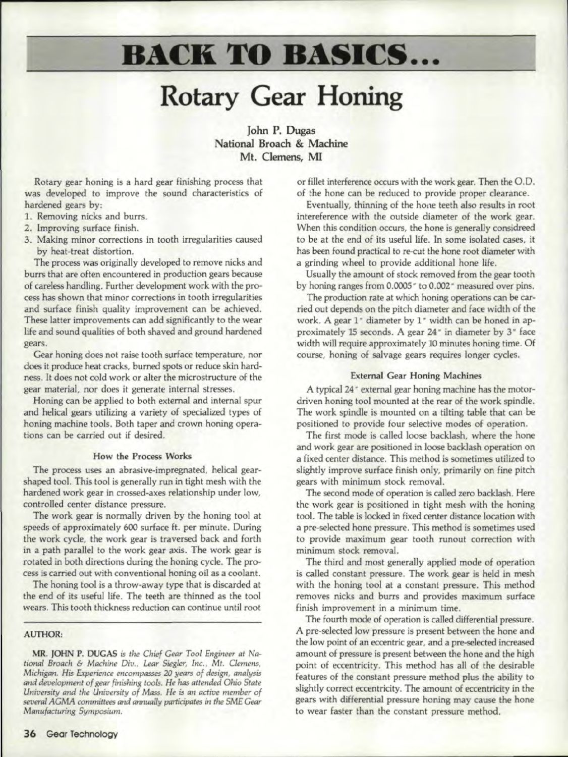# **BACK TO BASICS ...**

# **Rotary** Gear Honing

John P. Dugas National Broach & Machine Mt. Clemens, MI

Rotary gear honing is a hard gear finishing process that was developed to improve the sound characteristics of hardened gears by:

- 1. Removing nicks and burrs.
- 2. Improving surface finish.
- 3. Making minor corrections in tooth irregularities caused by heat-treat distortion.

The process was originally developed to remove nicks and burrs that are often encountered in production gears because of careless handling. Further development work with the process has shown that minor corrections in tooth irregularities and surface finish quality improvement can be achieved. These latter improvements can add significantly to the wear life and sound qualities of both shaved and ground hardened gears.

Gear honing does not raise tooth surface temperature, nor does it produce heat cracks, burned spots or reduce skin hardness. It does not cold work or alter the microstructure of the gear material, nor does it generate internal stresses.

Honing can be applied to both external and internal spur and helical gears utilizing a variety of specialized types of honing machine tools. Both taper and crown honing operations can be carried out if desired.

### How the Process Works

The process uses an abrasive-impregnated, helical gearshaped tool. This tool is generally run in tight mesh with the hardened work gear in crossed-axes relationship under low, controlled center distance pressure.

The work gear is normally driven by the honing tool at speeds of approximately 600 surface *it.* per minute. During the work cycle, the work gear is traversed back and forth in a path parallel to the work gear axis. The work gear is rotated in both directions during the honing cycle, The process is carried out with conventional honing oil as a coolant.

The honing tool is a throw-away type that is discarded at the end of its useful life. The teeth are thinned as the tool wears. This tooth thickness reduction can continue until root

# AUTHOR:

MR. JOHN P. DUGAS *is tile Chief Gear Tool Engineer at National Broach* & *Machine Div.. Lear Siegler, I11c..* Mr. *Clemens, Michigan. His Experience encompasses 20 years of design, analysis cmd deoelopmen: of gear finishing fools. He has attended Ohio State University and tile University of Mass. He is an active member of*  $s$ *everal*  $AGMA$  *committees and annually participates in the SME Gear Manufacturing Symposium.*

or fillet interference occurs with the work gear. Then the 0.0. of the hone can be reduced to provide proper clearance.

Eventually, thinning of the hone teeth also results in root intereferenee with the outside diameter of the work gear. When this condition occurs, the hone is generally considreed to be at the end of its useful life. In some isolated cases, it has been found practical to re-cut the hone root diameter with a grinding wheel to provide additional hone life.

Usually the amount of stock removed from the gear tooth by honing ranges from 0.0005" to 0.002" measured over pins.

The production rate at which honing operations can be carried out depends on the pitch diameter and face width of the work. A gear 1<sup>°</sup> diameter by 1<sup>°</sup> width can be honed in approximately 15 seconds. A gear 24" in diameter by 3" face width will require approximately 10 minutes honing time. Of course, honing of salvage gears requires longer cycles.

### External Gear Honing Machines

A typical 24" external gear honing machine has the motordriven honing tool mounted at the rear of the work spindle. The work spindle is mounted on a tilting table that can be positioned to provide four selective modes of operation.

The first mode is called loose backlash, where the hone and work gear are positioned in loose backlash operation on a fixed center distance. This method is sometimes utilized to slightly improve surface finish only, primarily on fine pitch gears with minimum stock removal,

The second mode of operation is called zero backlash. Here the work gear is positioned in tight mesh with the honing tool. The table is locked in fixed center distance location with a pre-selected hone pressure. This method is sometimes used to provide maximum gear tooth runout correction with minimum stock removal,

The third and most generally applied mode of operation is called constant pressure. The work gear is held in mesh with the honing tool at a constant pressure, This method removes nicks and burrs and provides maximum surface .finish improvement in a minimum time.

The fourth mode of operation is called differential pressure. A pre-selected low pressure is present between the hone and the low point of an eccentric gear, and a pre-selected increased amount of pressure is present between the hone and the high point of eccentricity. This method has all of the desirable features of the constant pressure method plus the ability to slightly correct eccentricity, The amount of eccentricity in the gears with differential pressure honing may cause the hone to wear faster than the constant pressure method.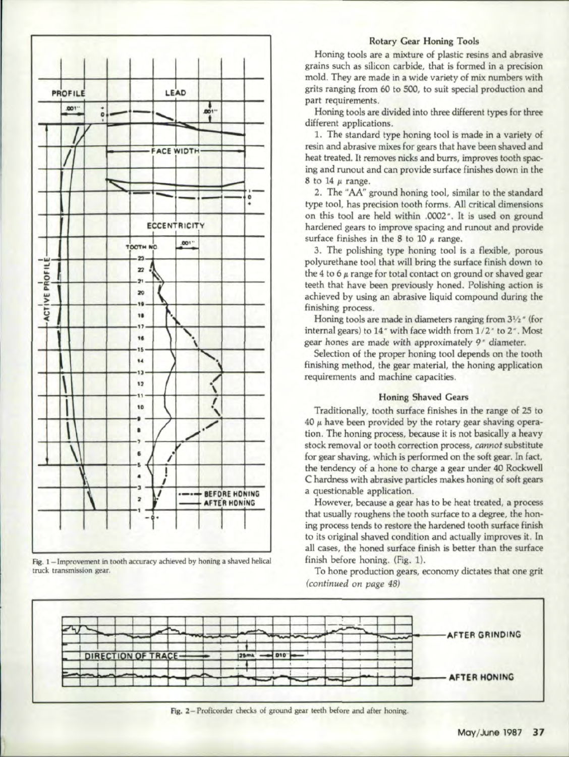

Fig. 1-Improvement in tooth accuracy achieved by honing a shaved helical truck transmission gear.

#### **Rotary Gear Honing Tools**

Honing tools are a mixture of plastic resins and abrasive grains such as silicon carbide, that is formed in a precision mold. They are made in a wide variety of mix numbers with grits ranging from 60 to 500, to suit special production and part requirements.

Honing tools are divided into three different types for three different applications.

1. The standard type honing tool is made in a variety of resin and abrasive mixes for gears that have been shaved and heat treated. It removes nicks and burrs, improves tooth spacing and runout and can provide surface finishes down in the 8 to 14  $\mu$  range.

2. The "AA" ground honing tool, similar to the standard type tool, has precision tooth forms. All critical dimensions on this tool are held within .0002". It is used on ground hardened gears to improve spacing and runout and provide surface finishes in the 8 to 10  $\mu$  range.

3. The polishing type honing tool is a flexible, porous polyurethane tool that will bring the surface finish down to the 4 to 6  $\mu$  range for total contact on ground or shaved gear teeth that have been previously honed. Polishing action is achieved by using an abrasive liquid compound during the finishing process.

Honing tools are made in diameters ranging from 31/2" (for internal gears) to 14" with face width from 1/2" to 2". Most gear hones are made with approximately 9<sup>\*</sup> diameter.

Selection of the proper honing tool depends on the tooth finishing method, the gear material, the honing application requirements and machine capacities.

# **Honing Shaved Gears**

Traditionally, tooth surface finishes in the range of 25 to 40  $\mu$  have been provided by the rotary gear shaving operation. The honing process, because it is not basically a heavy stock removal or tooth correction process, cannot substitute for gear shaving, which is performed on the soft gear. In fact, the tendency of a hone to charge a gear under 40 Rockwell C hardness with abrasive particles makes honing of soft gears a questionable application.

However, because a gear has to be heat treated, a process that usually roughens the tooth surface to a degree, the honing process tends to restore the hardened tooth surface finish to its original shaved condition and actually improves it. In all cases, the honed surface finish is better than the surface finish before honing. (Fig. 1).

To hone production gears, economy dictates that one grit (continued on page 48)



Fig. 2-Proficorder checks of ground gear teeth before and after honing.